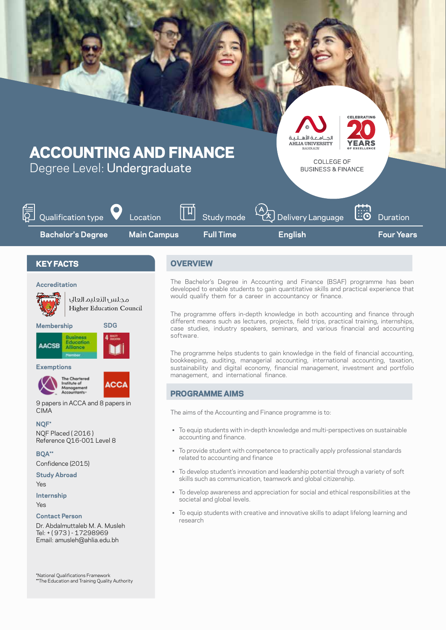

## **Accreditation**



**Membership**

isiness Education **AACSB** Alliance

**SDG**

محلس التعليم العاك Higher Education Council

**Exemptions**





9 papers in ACCA and 8 papers in CIMA

**\*NQF** NQF Placed (2016) Reference Q16-001 Level 8

**\*\*BQA** (2015) Confidence

**Study Abroad** Yes

**Internship**

Yes

**Contact Person** 

Dr. Abdalmuttaleb M. A. Musleh Tel: + (973) - 17298969 Email: amusleh@ahlia.edu.bh

\*National Qualifications Framework<br>\*\*The Education and Training Quality Authority

The Bachelor's Degree in Accounting and Finance (BSAF) programme has been developed to enable students to gain quantitative skills and practical experience that would qualify them for a career in accountancy or finance.

The programme offers in-depth knowledge in both accounting and finance through different means such as lectures, projects, field trips, practical training, internships, case studies, industry speakers, seminars, and various financial and accounting .software

The programme helps students to gain knowledge in the field of financial accounting, bookkeeping, auditing, managerial accounting, international accounting, taxation, sustainability and digital economy, financial management, investment and portfolio management, and international finance.

# **PROGRAMME AIMS**

The aims of the Accounting and Finance programme is to:

- To equip students with in-depth knowledge and multi-perspectives on sustainable accounting and finance.
- To provide student with competence to practically apply professional standards related to accounting and finance
- To develop student's innovation and leadership potential through a variety of soft skills such as communication, teamwork and global citizenship.
- To develop awareness and appreciation for social and ethical responsibilities at the societal and global levels.
- To equip students with creative and innovative skills to adapt lifelong learning and research